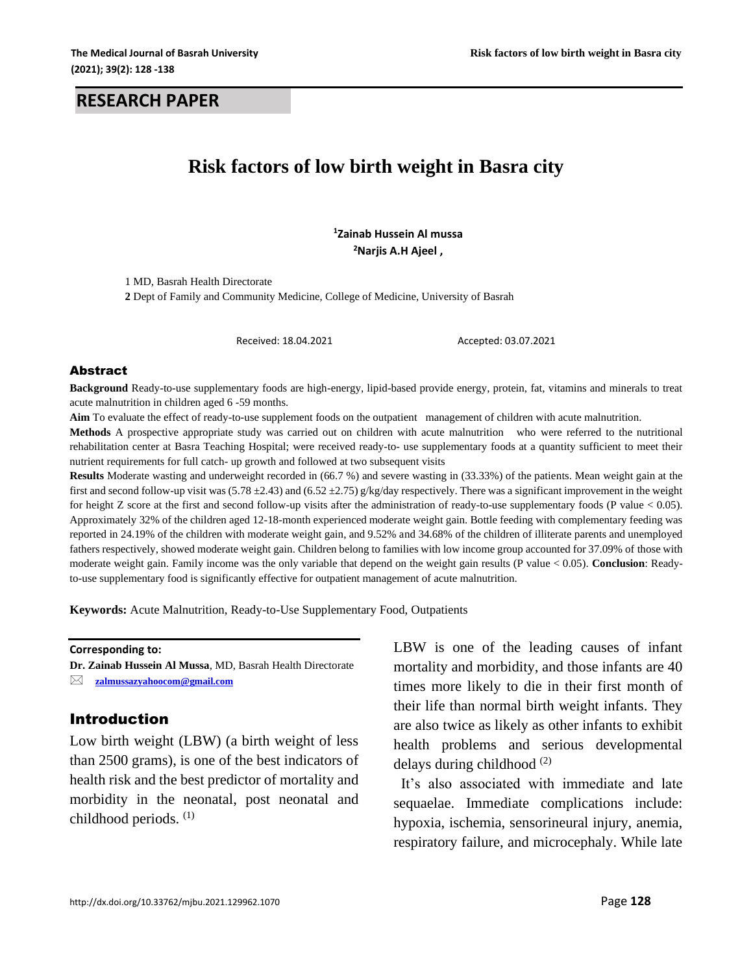#### **RESEARCH PAPER**

# **Risk factors of low birth weight in Basra city**

**<sup>1</sup>Zainab Hussein Al mussa <sup>2</sup>Narjis A.H Ajeel ,** 

1 MD, Basrah Health Directorate **2** Dept of Family and Community Medicine, College of Medicine, University of Basrah

Received: 18.04.2021 Accepted: 03.07.2021

#### Abstract

**Background** Ready-to-use supplementary foods are high-energy, lipid-based provide energy, protein, fat, vitamins and minerals to treat acute malnutrition in children aged 6 -59 months.

**Aim** To evaluate the effect of ready-to-use supplement foods on the outpatient management of children with acute malnutrition.

**Methods** A prospective appropriate study was carried out on children with acute malnutrition who were referred to the nutritional rehabilitation center at Basra Teaching Hospital; were received ready-to- use supplementary foods at a quantity sufficient to meet their nutrient requirements for full catch- up growth and followed at two subsequent visits

**Results** Moderate wasting and underweight recorded in (66.7 %) and severe wasting in (33.33%) of the patients. Mean weight gain at the first and second follow-up visit was  $(5.78 \pm 2.43)$  and  $(6.52 \pm 2.75)$  g/kg/day respectively. There was a significant improvement in the weight for height Z score at the first and second follow-up visits after the administration of ready-to-use supplementary foods (P value < 0.05). Approximately 32% of the children aged 12-18-month experienced moderate weight gain. Bottle feeding with complementary feeding was reported in 24.19% of the children with moderate weight gain, and 9.52% and 34.68% of the children of illiterate parents and unemployed fathers respectively, showed moderate weight gain. Children belong to families with low income group accounted for 37.09% of those with moderate weight gain. Family income was the only variable that depend on the weight gain results (P value < 0.05). **Conclusion**: Readyto-use supplementary food is significantly effective for outpatient management of acute malnutrition.

**Keywords:** Acute Malnutrition, Ready-to-Use Supplementary Food, Outpatients

**Corresponding to:**

**Dr. Zainab Hussein Al Mussa**, MD, Basrah Health Directorate **[zalmussazyahoocom@gmail.com](mailto:zalmussazyahoocom@gmail.com)**

#### Introduction

Low birth weight (LBW) (a birth weight of less than 2500 grams), is one of the best indicators of health risk and the best predictor of mortality and morbidity in the neonatal, post neonatal and childhood periods. (1)

LBW is one of the leading causes of infant mortality and morbidity, and those infants are 40 times more likely to die in their first month of their life than normal birth weight infants. They are also twice as likely as other infants to exhibit health problems and serious developmental delays during childhood<sup>(2)</sup>

 It's also associated with immediate and late sequaelae. Immediate complications include: hypoxia, ischemia, sensorineural injury, anemia, respiratory failure, and microcephaly. While late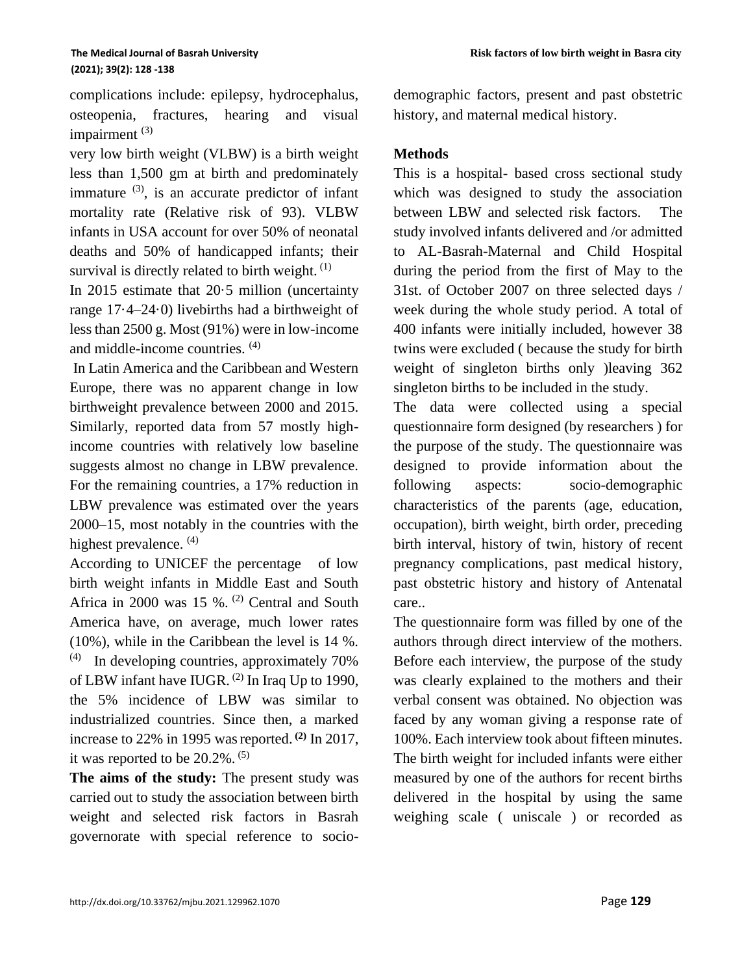complications include: epilepsy, hydrocephalus, osteopenia, fractures, hearing and visual impairment<sup>(3)</sup>

very low birth weight (VLBW) is a birth weight less than 1,500 gm at birth and predominately immature  $(3)$ , is an accurate predictor of infant mortality rate (Relative risk of 93). VLBW infants in USA account for over 50% of neonatal deaths and 50% of handicapped infants; their survival is directly related to birth weight.  $(1)$ 

In 2015 estimate that 20·5 million (uncertainty range 17·4–24·0) livebirths had a birthweight of less than 2500 g. Most (91%) were in low-income and middle-income countries. (4)

In Latin America and the Caribbean and Western Europe, there was no apparent change in low birthweight prevalence between 2000 and 2015. Similarly, reported data from 57 mostly highincome countries with relatively low baseline suggests almost no change in LBW prevalence. For the remaining countries, a 17% reduction in LBW prevalence was estimated over the years 2000–15, most notably in the countries with the highest prevalence. <sup>(4)</sup>

According to UNICEF the percentage of low birth weight infants in Middle East and South Africa in 2000 was 15 %.  $(2)$  Central and South America have, on average, much lower rates (10%), while in the Caribbean the level is 14 %. (4) In developing countries, approximately 70% of LBW infant have IUGR. (2) In Iraq Up to 1990, the 5% incidence of LBW was similar to industrialized countries. Since then, a marked increase to 22% in 1995 wasreported. **(2)** In 2017, it was reported to be  $20.2\%$ .  $(5)$ 

**The aims of the study:** The present study was carried out to study the association between birth weight and selected risk factors in Basrah governorate with special reference to sociodemographic factors, present and past obstetric history, and maternal medical history.

### **Methods**

This is a hospital- based cross sectional study which was designed to study the association between LBW and selected risk factors. The study involved infants delivered and /or admitted to AL-Basrah-Maternal and Child Hospital during the period from the first of May to the 31st. of October 2007 on three selected days / week during the whole study period. A total of 400 infants were initially included, however 38 twins were excluded ( because the study for birth weight of singleton births only )leaving 362 singleton births to be included in the study.

The data were collected using a special questionnaire form designed (by researchers ) for the purpose of the study. The questionnaire was designed to provide information about the following aspects: socio-demographic characteristics of the parents (age, education, occupation), birth weight, birth order, preceding birth interval, history of twin, history of recent pregnancy complications, past medical history, past obstetric history and history of Antenatal care..

The questionnaire form was filled by one of the authors through direct interview of the mothers. Before each interview, the purpose of the study was clearly explained to the mothers and their verbal consent was obtained. No objection was faced by any woman giving a response rate of 100%. Each interview took about fifteen minutes. The birth weight for included infants were either measured by one of the authors for recent births delivered in the hospital by using the same weighing scale ( uniscale ) or recorded as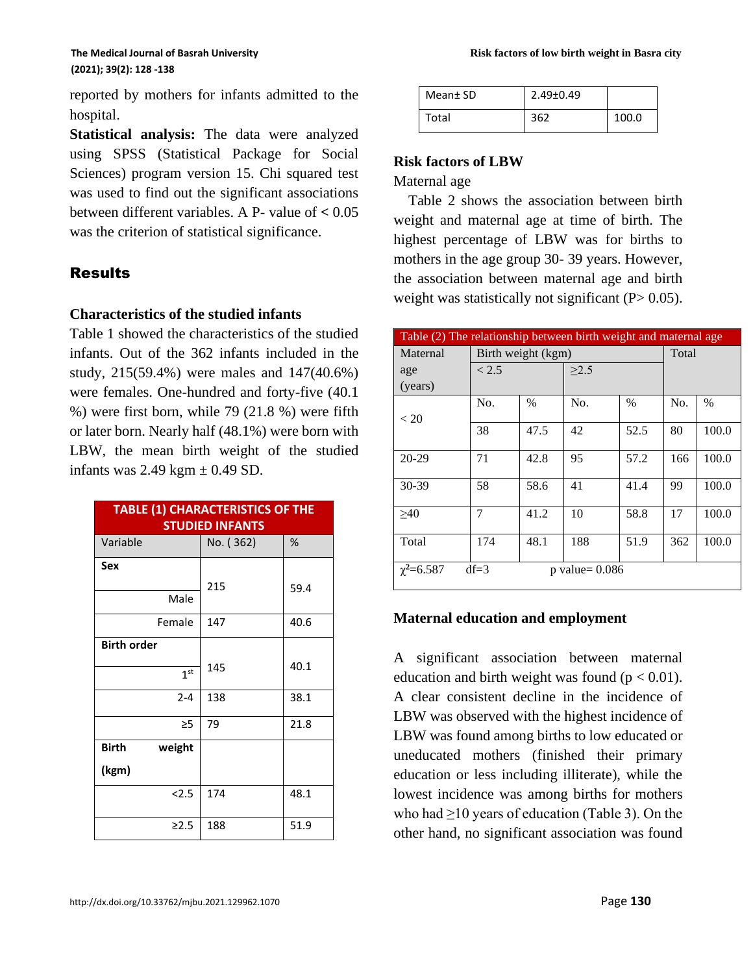reported by mothers for infants admitted to the hospital.

**Statistical analysis:** The data were analyzed using SPSS (Statistical Package for Social Sciences) program version 15. Chi squared test was used to find out the significant associations between different variables. A P- value of **<** 0.05 was the criterion of statistical significance.

# Results

### **Characteristics of the studied infants**

Table 1 showed the characteristics of the studied infants. Out of the 362 infants included in the study, 215(59.4%) were males and 147(40.6%) were females. One-hundred and forty-five (40.1 %) were first born, while 79 (21.8 %) were fifth or later born. Nearly half (48.1%) were born with LBW, the mean birth weight of the studied infants was  $2.49$  kgm  $\pm$  0.49 SD.

| <b>TABLE (1) CHARACTERISTICS OF THE</b><br><b>STUDIED INFANTS</b> |           |      |  |  |  |
|-------------------------------------------------------------------|-----------|------|--|--|--|
| Variable                                                          | No. (362) | %    |  |  |  |
| Sex                                                               |           |      |  |  |  |
| Male                                                              | 215       | 59.4 |  |  |  |
| Female                                                            | 147       | 40.6 |  |  |  |
| <b>Birth order</b>                                                |           |      |  |  |  |
| 1 <sup>st</sup>                                                   | 145       | 40.1 |  |  |  |
| $2 - 4$                                                           | 138       | 38.1 |  |  |  |
| $\geq$ 5                                                          | 79        | 21.8 |  |  |  |
| <b>Birth</b><br>weight                                            |           |      |  |  |  |
| (kgm)                                                             |           |      |  |  |  |
| 2.5                                                               | 174       | 48.1 |  |  |  |
| $\geq 2.5$                                                        | 188       | 51.9 |  |  |  |

| Mean <sup>±</sup> SD | $2.49 \pm 0.49$ |       |
|----------------------|-----------------|-------|
| Total                | 362             | 100.0 |

## **Risk factors of LBW**

Maternal age

 Table 2 shows the association between birth weight and maternal age at time of birth. The highest percentage of LBW was for births to mothers in the age group 30- 39 years. However, the association between maternal age and birth weight was statistically not significant  $(P> 0.05)$ .

| Table (2) The relationship between birth weight and maternal age |                            |                    |            |      |       |       |  |  |
|------------------------------------------------------------------|----------------------------|--------------------|------------|------|-------|-------|--|--|
| Maternal                                                         |                            | Birth weight (kgm) |            |      | Total |       |  |  |
| age                                                              | < 2.5                      |                    | $\geq$ 2.5 |      |       |       |  |  |
| (years)                                                          |                            |                    |            |      |       |       |  |  |
| < 20                                                             | No.                        | $\%$               | No.        | $\%$ | No.   | $\%$  |  |  |
|                                                                  | 38                         | 47.5               | 42         | 52.5 | 80    | 100.0 |  |  |
| 20-29                                                            | 71                         | 42.8               | 95         | 57.2 | 166   | 100.0 |  |  |
| 30-39                                                            | 58                         | 58.6               | 41         | 41.4 | 99    | 100.0 |  |  |
| >40                                                              | 7                          | 41.2               | 10         | 58.8 | 17    | 100.0 |  |  |
| Total                                                            | 174                        | 48.1               | 188        | 51.9 | 362   | 100.0 |  |  |
| $\chi^2 = 6.587$                                                 | $df=3$<br>$p$ value= 0.086 |                    |            |      |       |       |  |  |

### **Maternal education and employment**

A significant association between maternal education and birth weight was found ( $p < 0.01$ ). A clear consistent decline in the incidence of LBW was observed with the highest incidence of LBW was found among births to low educated or uneducated mothers (finished their primary education or less including illiterate), while the lowest incidence was among births for mothers who had ≥10 years of education (Table 3). On the other hand, no significant association was found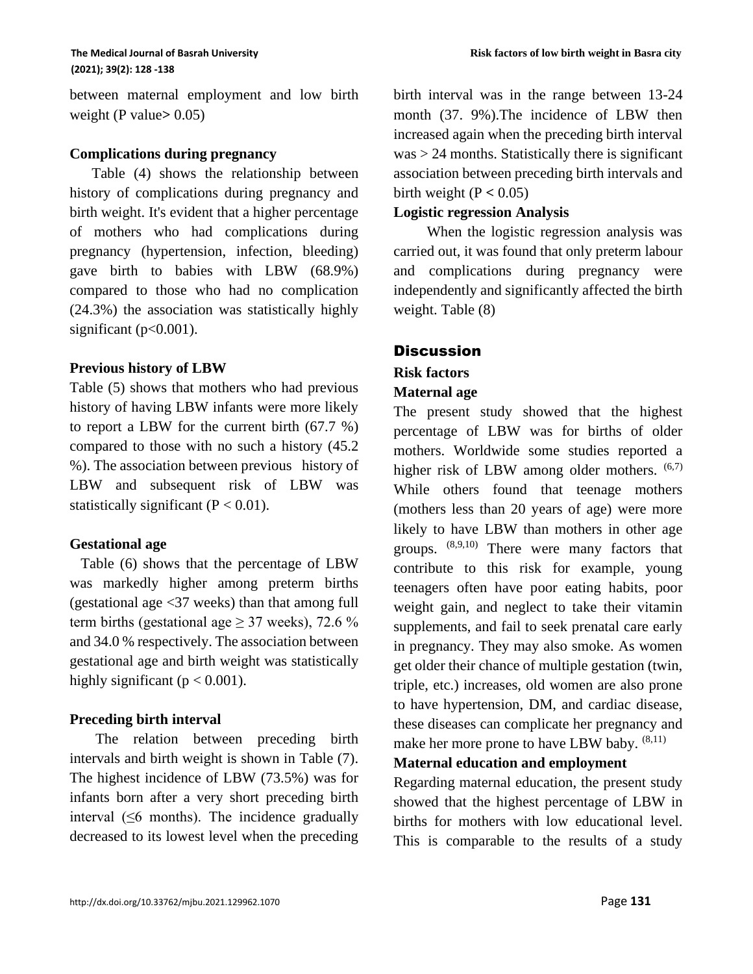between maternal employment and low birth weight (P value**>** 0.05)

#### **Complications during pregnancy**

 Table (4) shows the relationship between history of complications during pregnancy and birth weight. It's evident that a higher percentage of mothers who had complications during pregnancy (hypertension, infection, bleeding) gave birth to babies with LBW (68.9%) compared to those who had no complication (24.3%) the association was statistically highly significant ( $p<0.001$ ).

#### **Previous history of LBW**

Table (5) shows that mothers who had previous history of having LBW infants were more likely to report a LBW for the current birth (67.7 %) compared to those with no such a history (45.2 %). The association between previous history of LBW and subsequent risk of LBW was statistically significant  $(P < 0.01)$ .

#### **Gestational age**

 Table (6) shows that the percentage of LBW was markedly higher among preterm births (gestational age <37 weeks) than that among full term births (gestational age  $\geq$  37 weeks), 72.6 % and 34.0 % respectively. The association between gestational age and birth weight was statistically highly significant ( $p < 0.001$ ).

#### **Preceding birth interval**

 The relation between preceding birth intervals and birth weight is shown in Table (7). The highest incidence of LBW (73.5%) was for infants born after a very short preceding birth interval  $(≤6$  months). The incidence gradually decreased to its lowest level when the preceding birth interval was in the range between 13-24 month (37. 9%).The incidence of LBW then increased again when the preceding birth interval  $was > 24$  months. Statistically there is significant association between preceding birth intervals and birth weight  $(P < 0.05)$ 

#### **Logistic regression Analysis**

 When the logistic regression analysis was carried out, it was found that only preterm labour and complications during pregnancy were independently and significantly affected the birth weight. Table (8)

#### **Discussion**

# **Risk factors**

# **Maternal age**

The present study showed that the highest percentage of LBW was for births of older mothers. Worldwide some studies reported a higher risk of LBW among older mothers.  $(6,7)$ While others found that teenage mothers (mothers less than 20 years of age) were more likely to have LBW than mothers in other age groups. (8,9,10) There were many factors that contribute to this risk for example, young teenagers often have poor eating habits, poor weight gain, and neglect to take their vitamin supplements, and fail to seek prenatal care early in pregnancy. They may also smoke. As women get older their chance of multiple gestation (twin, triple, etc.) increases, old women are also prone to have hypertension, DM, and cardiac disease, these diseases can complicate her pregnancy and make her more prone to have LBW baby.  $^{(8,11)}$ 

## **Maternal education and employment**

Regarding maternal education, the present study showed that the highest percentage of LBW in births for mothers with low educational level. This is comparable to the results of a study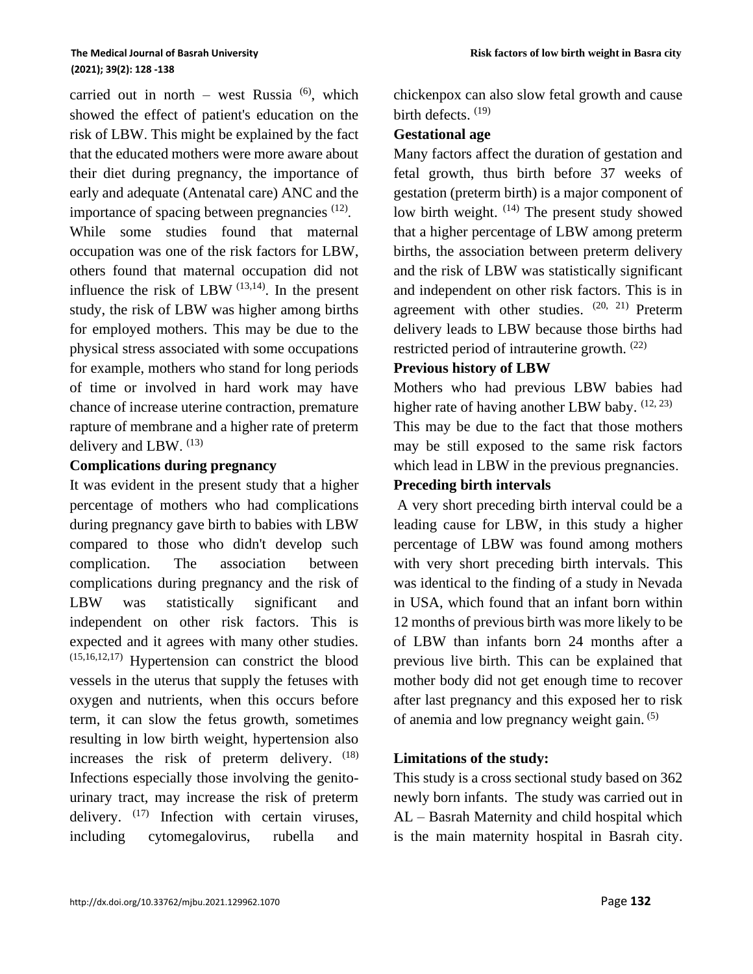carried out in north – west Russia  $^{(6)}$ , which showed the effect of patient's education on the risk of LBW. This might be explained by the fact that the educated mothers were more aware about their diet during pregnancy, the importance of early and adequate (Antenatal care) ANC and the importance of spacing between pregnancies <sup>(12)</sup>.

While some studies found that maternal occupation was one of the risk factors for LBW, others found that maternal occupation did not influence the risk of LBW  $(13,14)$ . In the present study, the risk of LBW was higher among births for employed mothers. This may be due to the physical stress associated with some occupations for example, mothers who stand for long periods of time or involved in hard work may have chance of increase uterine contraction, premature rapture of membrane and a higher rate of preterm delivery and LBW.  $^{(13)}$ 

#### **Complications during pregnancy**

It was evident in the present study that a higher percentage of mothers who had complications during pregnancy gave birth to babies with LBW compared to those who didn't develop such complication. The association between complications during pregnancy and the risk of LBW was statistically significant and independent on other risk factors. This is expected and it agrees with many other studies. (15,16,12,17) Hypertension can constrict the blood vessels in the uterus that supply the fetuses with oxygen and nutrients, when this occurs before term, it can slow the fetus growth, sometimes resulting in low birth weight, hypertension also increases the risk of preterm delivery.  $(18)$ Infections especially those involving the genitourinary tract, may increase the risk of preterm delivery.  $(17)$  Infection with certain viruses, including cytomegalovirus, rubella and chickenpox can also slow fetal growth and cause birth defects.<sup>(19)</sup>

#### **Gestational age**

Many factors affect the duration of gestation and fetal growth, thus birth before 37 weeks of gestation (preterm birth) is a major component of low birth weight.  $(14)$  The present study showed that a higher percentage of LBW among preterm births, the association between preterm delivery and the risk of LBW was statistically significant and independent on other risk factors. This is in agreement with other studies.  $(20, 21)$  Preterm delivery leads to LBW because those births had restricted period of intrauterine growth.  $(22)$ 

#### **Previous history of LBW**

Mothers who had previous LBW babies had higher rate of having another LBW baby.  $(12, 23)$ This may be due to the fact that those mothers may be still exposed to the same risk factors which lead in LBW in the previous pregnancies.

## **Preceding birth intervals**

A very short preceding birth interval could be a leading cause for LBW, in this study a higher percentage of LBW was found among mothers with very short preceding birth intervals. This was identical to the finding of a study in Nevada in USA, which found that an infant born within 12 months of previous birth was more likely to be of LBW than infants born 24 months after a previous live birth. This can be explained that mother body did not get enough time to recover after last pregnancy and this exposed her to risk of anemia and low pregnancy weight gain. (5)

### **Limitations of the study:**

This study is a cross sectional study based on 362 newly born infants. The study was carried out in AL – Basrah Maternity and child hospital which is the main maternity hospital in Basrah city.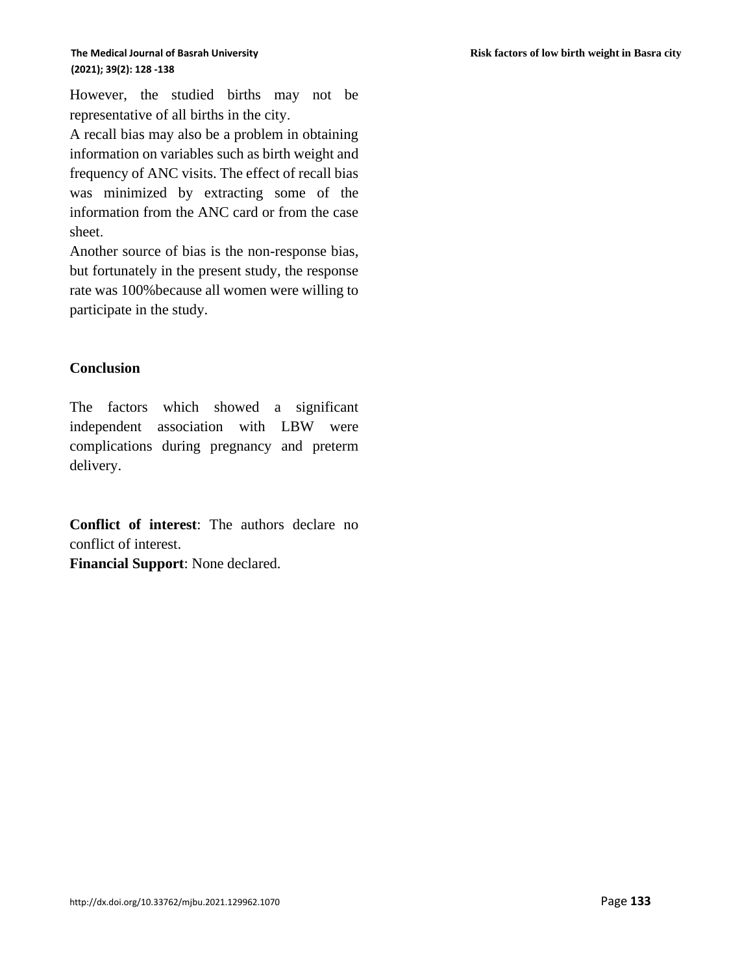However, the studied births may not be representative of all births in the city.

A recall bias may also be a problem in obtaining information on variables such as birth weight and frequency of ANC visits. The effect of recall bias was minimized by extracting some of the information from the ANC card or from the case sheet.

Another source of bias is the non-response bias, but fortunately in the present study, the response rate was 100%because all women were willing to participate in the study.

#### **Conclusion**

The factors which showed a significant independent association with LBW were complications during pregnancy and preterm delivery.

**Conflict of interest**: The authors declare no conflict of interest. **Financial Support**: None declared.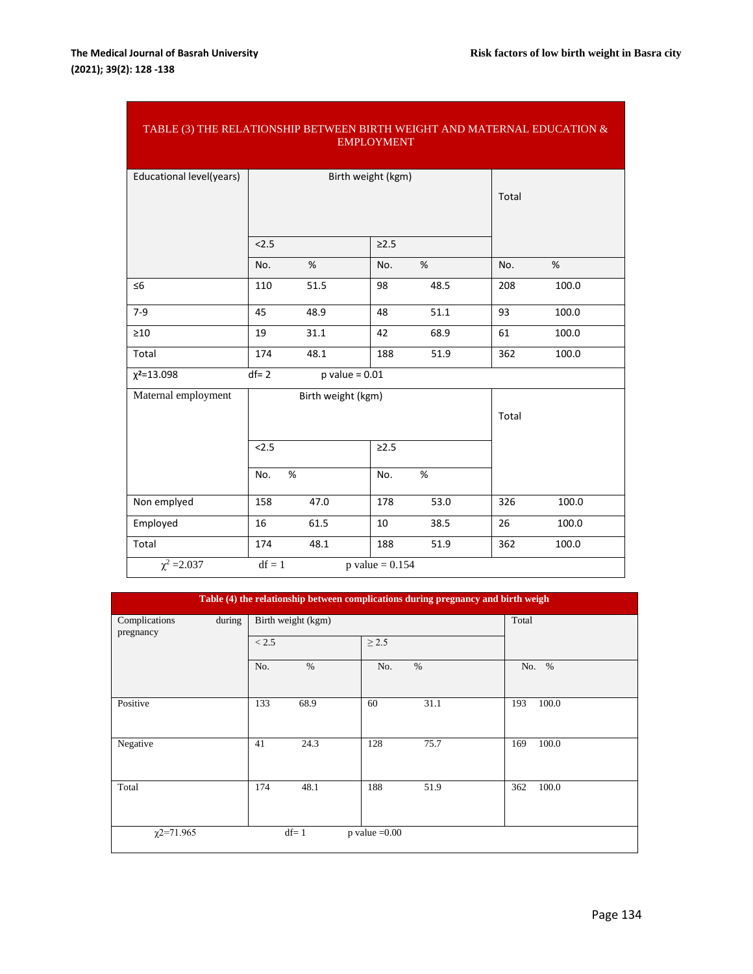| TABLE (3) THE RELATIONSHIP BETWEEN BIRTH WEIGHT AND MATERNAL EDUCATION $\&$<br><b>EMPLOYMENT</b> |          |                    |                              |      |     |       |  |
|--------------------------------------------------------------------------------------------------|----------|--------------------|------------------------------|------|-----|-------|--|
| Educational level(years)                                                                         |          | Birth weight (kgm) | Total                        |      |     |       |  |
|                                                                                                  | 2.5      |                    | $\geq$ 2.5                   |      |     |       |  |
|                                                                                                  | No.      | %                  | No.                          | %    | No. | %     |  |
| $\leq 6$                                                                                         | 110      | 51.5               | 98                           | 48.5 | 208 | 100.0 |  |
| $7-9$                                                                                            | 45       | 48.9               | 48                           | 51.1 | 93  | 100.0 |  |
| $\geq 10$                                                                                        | 19       | 31.1               | 42                           | 68.9 | 61  | 100.0 |  |
| Total                                                                                            | 174      | 48.1               | 188                          | 51.9 | 362 | 100.0 |  |
| $\chi^2 = 13.098$                                                                                | $df = 2$ | $p$ value = $0.01$ |                              |      |     |       |  |
| Maternal employment                                                                              |          | Birth weight (kgm) | Total                        |      |     |       |  |
|                                                                                                  | 2.5      |                    | $\geq$ 2.5                   |      |     |       |  |
|                                                                                                  | No.      | %                  | No.                          | %    |     |       |  |
| Non emplyed                                                                                      | 158      | 47.0               | 178                          | 53.0 | 326 | 100.0 |  |
| Employed                                                                                         | 16       | 61.5               | 10                           | 38.5 | 26  | 100.0 |  |
| Total                                                                                            | 174      | 48.1               | 188                          | 51.9 | 362 | 100.0 |  |
| $\chi^2 = 2.037$                                                                                 | $df = 1$ |                    | p value = $0.1\overline{54}$ |      |     |       |  |

| Table (4) the relationship between complications during pregnancy and birth weigh |                    |                  |              |  |  |  |  |
|-----------------------------------------------------------------------------------|--------------------|------------------|--------------|--|--|--|--|
| during<br>Complications<br>pregnancy                                              | Birth weight (kgm) | Total            |              |  |  |  |  |
|                                                                                   | < 2.5              | $\geq$ 2.5       |              |  |  |  |  |
|                                                                                   | No.<br>$\%$        | $\%$<br>No.      | No. %        |  |  |  |  |
| Positive                                                                          | 133<br>68.9        | 31.1<br>60       | 100.0<br>193 |  |  |  |  |
| Negative                                                                          | 24.3<br>41         | 128<br>75.7      | 100.0<br>169 |  |  |  |  |
| Total                                                                             | 174<br>48.1        | 188<br>51.9      | 100.0<br>362 |  |  |  |  |
| $\chi$ 2=71.965                                                                   | $df=1$             | $p$ value = 0.00 |              |  |  |  |  |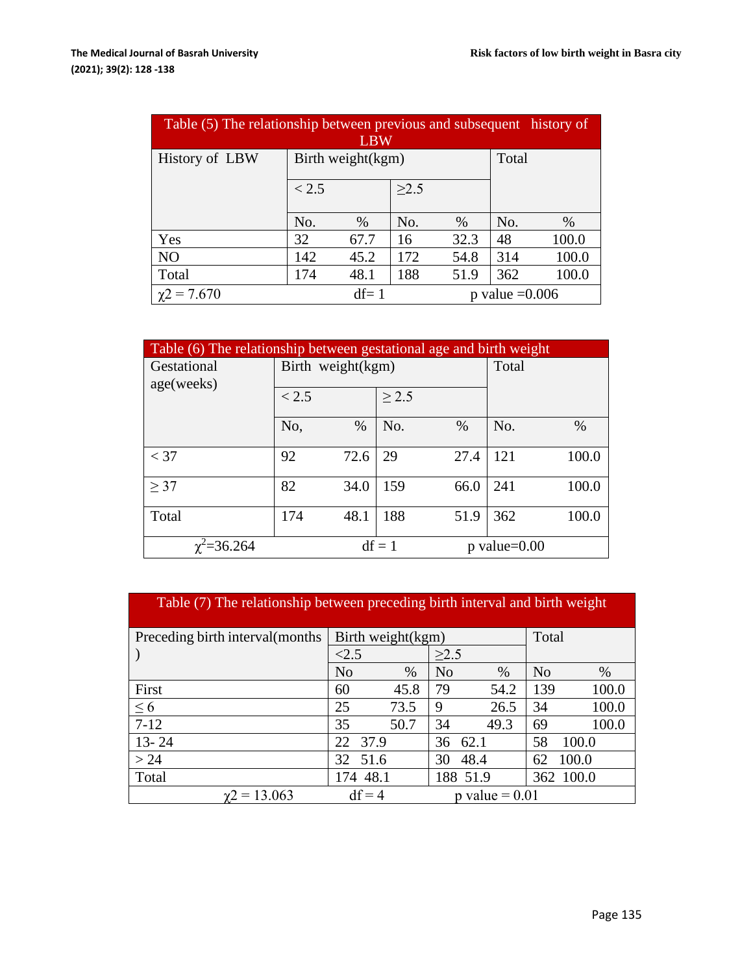| Table (5) The relationship between previous and subsequent history of |                     |                   |                  |      |     |       |  |
|-----------------------------------------------------------------------|---------------------|-------------------|------------------|------|-----|-------|--|
| <b>LBW</b>                                                            |                     |                   |                  |      |     |       |  |
| History of LBW                                                        |                     | Birth weight(kgm) | Total            |      |     |       |  |
|                                                                       | $\geq$ 2.5<br>< 2.5 |                   |                  |      |     |       |  |
|                                                                       | No.                 | $\%$              | No.              | $\%$ | No. | $\%$  |  |
| Yes                                                                   | 32                  | 67.7              | 16               | 32.3 | 48  | 100.0 |  |
| N <sub>O</sub>                                                        | 142                 | 45.2              | 172              | 54.8 | 314 | 100.0 |  |
| Total                                                                 | 174                 | 48.1              | 188              | 51.9 | 362 | 100.0 |  |
| $\chi$ 2 = 7.670                                                      |                     | $df = 1$          | p value $=0.006$ |      |     |       |  |

| Table (6) The relationship between gestational age and birth weight |                   |      |          |      |                   |       |  |
|---------------------------------------------------------------------|-------------------|------|----------|------|-------------------|-------|--|
| Gestational                                                         | Birth weight(kgm) |      | Total    |      |                   |       |  |
| age(weeks)                                                          | < 2.5             |      |          |      |                   |       |  |
|                                                                     | No.               | $\%$ | No.      | $\%$ | No.               | %     |  |
| $<$ 37                                                              | 92                | 72.6 | 29       | 27.4 | 121               | 100.0 |  |
| $\geq$ 37                                                           | 82                | 34.0 | 159      | 66.0 | 241               | 100.0 |  |
| Total                                                               | 174               | 48.1 | 188      | 51.9 | 362               | 100.0 |  |
| $\chi^2 = 36.264$                                                   |                   |      | $df = 1$ |      | $p$ value= $0.00$ |       |  |

| Table (7) The relationship between preceding birth interval and birth weight |                              |                   |            |                |           |                |       |
|------------------------------------------------------------------------------|------------------------------|-------------------|------------|----------------|-----------|----------------|-------|
| Preceding birth interval (months)                                            |                              | Birth weight(kgm) |            |                |           | Total          |       |
|                                                                              | < 2.5                        |                   |            | $\geq$ 2.5     |           |                |       |
|                                                                              | N <sub>o</sub>               |                   | $\%$       | N <sub>o</sub> | $\%$      | N <sub>0</sub> | $\%$  |
| First                                                                        | 60                           | 45.8              |            | 79             | 54.2      | 139            | 100.0 |
| $\leq 6$                                                                     | 25                           | 73.5              |            | 9              | 26.5      | 34             | 100.0 |
| $7-12$                                                                       | 35                           | 50.7              |            | 34             | 49.3      | 69             | 100.0 |
| $13 - 24$                                                                    | 37.9<br>22                   |                   | 62.1<br>36 |                | 58        | 100.0          |       |
| > 24                                                                         | 32 51.6                      |                   | 48.4<br>30 |                | 62        | 100.0          |       |
| Total                                                                        | 174 48.1<br>188 51.9         |                   |            |                | 362 100.0 |                |       |
| $\gamma$ 2 = 13.063                                                          | $df = 4$<br>p value $= 0.01$ |                   |            |                |           |                |       |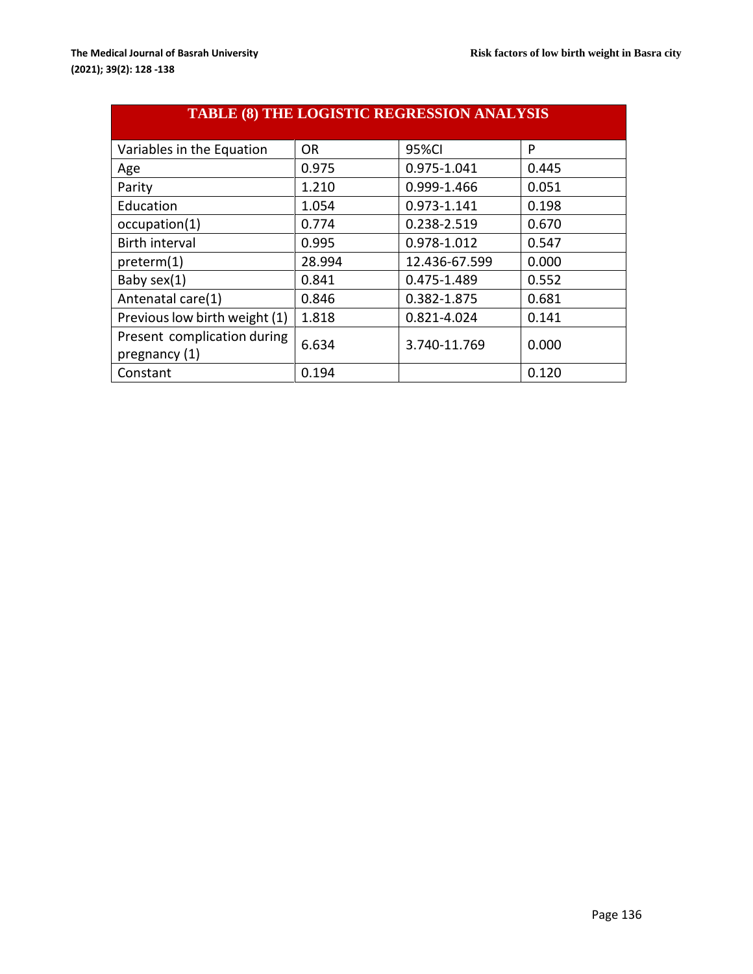| <b>TABLE (8) THE LOGISTIC REGRESSION ANALYSIS</b> |           |               |       |  |  |  |  |
|---------------------------------------------------|-----------|---------------|-------|--|--|--|--|
| Variables in the Equation                         | <b>OR</b> | 95%CI         | P     |  |  |  |  |
| Age                                               | 0.975     | 0.975-1.041   | 0.445 |  |  |  |  |
| Parity                                            | 1.210     | 0.999-1.466   | 0.051 |  |  |  |  |
| Education                                         | 1.054     | 0.973-1.141   | 0.198 |  |  |  |  |
| occupation(1)                                     | 0.774     | 0.238-2.519   | 0.670 |  |  |  |  |
| <b>Birth interval</b>                             | 0.995     | 0.978-1.012   | 0.547 |  |  |  |  |
| preterm(1)                                        | 28.994    | 12.436-67.599 | 0.000 |  |  |  |  |
| Baby sex(1)                                       | 0.841     | 0.475-1.489   | 0.552 |  |  |  |  |
| Antenatal care(1)                                 | 0.846     | 0.382-1.875   | 0.681 |  |  |  |  |
| Previous low birth weight (1)                     | 1.818     | 0.821-4.024   | 0.141 |  |  |  |  |
| Present complication during<br>pregnancy (1)      | 6.634     | 3.740-11.769  | 0.000 |  |  |  |  |
| Constant                                          | 0.194     |               | 0.120 |  |  |  |  |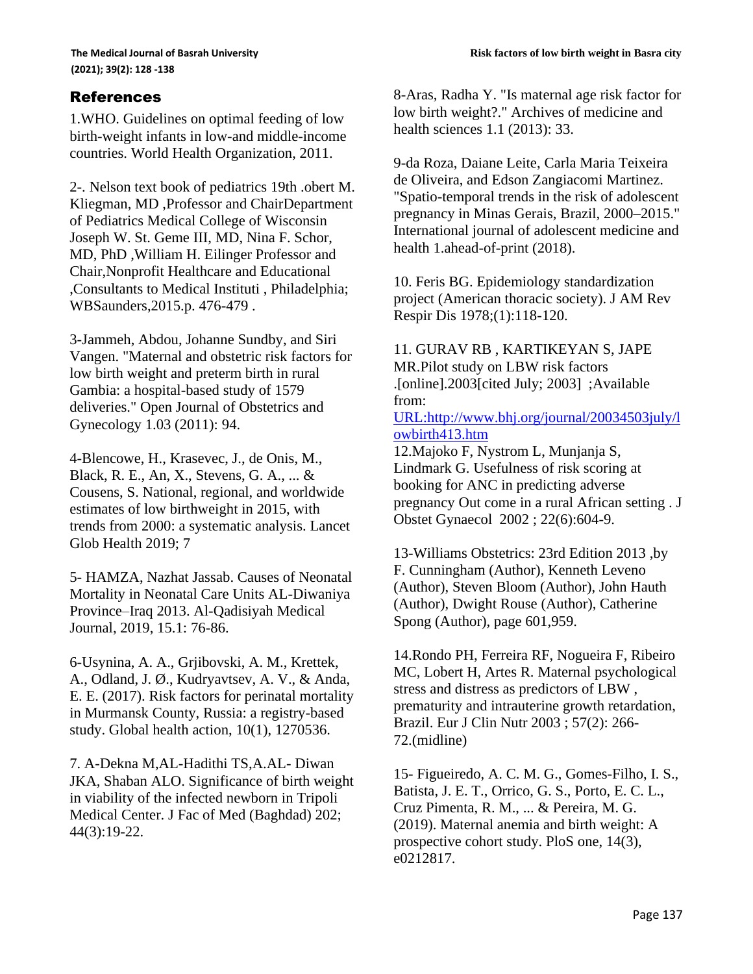## References

1.WHO. Guidelines on optimal feeding of low birth-weight infants in low-and middle-income countries. World Health Organization, 2011.

2-. Nelson text book of pediatrics 19th .obert M. Kliegman, MD ,Professor and ChairDepartment of Pediatrics Medical College of Wisconsin Joseph W. St. Geme III, MD, Nina F. Schor, MD, PhD ,William H. Eilinger Professor and Chair,Nonprofit Healthcare and Educational ,Consultants to Medical Instituti , Philadelphia; WBSaunders,2015.p. 476-479 .

3-Jammeh, Abdou, Johanne Sundby, and Siri Vangen. "Maternal and obstetric risk factors for low birth weight and preterm birth in rural Gambia: a hospital-based study of 1579 deliveries." Open Journal of Obstetrics and Gynecology 1.03 (2011): 94.

4-Blencowe, H., Krasevec, J., de Onis, M., Black, R. E., An, X., Stevens, G. A., ... & Cousens, S. National, regional, and worldwide estimates of low birthweight in 2015, with trends from 2000: a systematic analysis. Lancet Glob Health 2019; 7

5- HAMZA, Nazhat Jassab. Causes of Neonatal Mortality in Neonatal Care Units AL-Diwaniya Province–Iraq 2013. Al-Qadisiyah Medical Journal, 2019, 15.1: 76-86.

6-Usynina, A. A., Grjibovski, A. M., Krettek, A., Odland, J. Ø., Kudryavtsev, A. V., & Anda, E. E. (2017). Risk factors for perinatal mortality in Murmansk County, Russia: a registry-based study. Global health action, 10(1), 1270536.

7. A-Dekna M,AL-Hadithi TS,A.AL- Diwan JKA, Shaban ALO. Significance of birth weight in viability of the infected newborn in Tripoli Medical Center. J Fac of Med (Baghdad) 202; 44(3):19-22.

8-Aras, Radha Y. "Is maternal age risk factor for low birth weight?." Archives of medicine and health sciences 1.1 (2013): 33.

9-da Roza, Daiane Leite, Carla Maria Teixeira de Oliveira, and Edson Zangiacomi Martinez. "Spatio-temporal trends in the risk of adolescent pregnancy in Minas Gerais, Brazil, 2000–2015." International journal of adolescent medicine and health 1.ahead-of-print (2018).

10. Feris BG. Epidemiology standardization project (American thoracic society). J AM Rev Respir Dis 1978;(1):118-120.

11. GURAV RB , KARTIKEYAN S, JAPE MR.Pilot study on LBW risk factors .[online].2003[cited July; 2003] ;Available from: [URL:http://www.bhj.org/journal/20034503july/l](http://www.bhj.org/journal/20034503july/lowbirth413.htm)

[owbirth413.htm](http://www.bhj.org/journal/20034503july/lowbirth413.htm)

12.Majoko F, Nystrom L, Munjanja S, Lindmark G. Usefulness of risk scoring at booking for ANC in predicting adverse pregnancy Out come in a rural African setting . J Obstet Gynaecol 2002 ; 22(6):604-9.

13-Williams Obstetrics: 23rd Edition 2013 ,by F. Cunningham (Author), Kenneth Leveno (Author), Steven Bloom (Author), John Hauth (Author), Dwight Rouse (Author), Catherine Spong (Author), page 601,959.

14.Rondo PH, Ferreira RF, Nogueira F, Ribeiro MC, Lobert H, Artes R. Maternal psychological stress and distress as predictors of LBW , prematurity and intrauterine growth retardation, Brazil. Eur J Clin Nutr 2003 ; 57(2): 266- 72.(midline)

15- Figueiredo, A. C. M. G., Gomes-Filho, I. S., Batista, J. E. T., Orrico, G. S., Porto, E. C. L., Cruz Pimenta, R. M., ... & Pereira, M. G. (2019). Maternal anemia and birth weight: A prospective cohort study. PloS one, 14(3), e0212817.